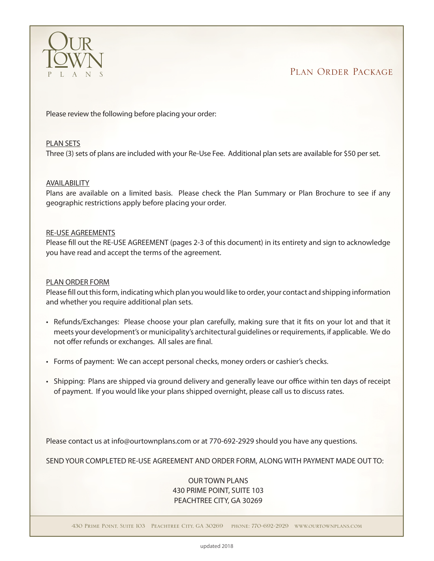

PLAN ORDER PACKAGE

Please review the following before placing your order:

### PLAN SETS

Three (3) sets of plans are included with your Re-Use Fee. Additional plan sets are available for \$50 per set.

### AVAILABILITY

Plans are available on a limited basis. Please check the Plan Summary or Plan Brochure to see if any geographic restrictions apply before placing your order.

### RE-USE AGREEMENTS

Please fill out the RE-USE AGREEMENT (pages 2-3 of this document) in its entirety and sign to acknowledge you have read and accept the terms of the agreement.

### PLAN ORDER FORM

Please fill out this form, indicating which plan you would like to order, your contact and shipping information and whether you require additional plan sets.

- • Refunds/Exchanges: Please choose your plan carefully, making sure that it fits on your lot and that it meets your development's or municipality's architectural guidelines or requirements, if applicable. We do not offer refunds or exchanges. All sales are final.
- Forms of payment: We can accept personal checks, money orders or cashier's checks.
- Shipping: Plans are shipped via ground delivery and generally leave our office within ten days of receipt of payment. If you would like your plans shipped overnight, please call us to discuss rates.

Please contact us at info@ourtownplans.com or at 770-692-2929 should you have any questions.

SEND YOUR COMPLETED RE-USE AGREEMENT AND ORDER FORM, ALONG WITH PAYMENT MADE OUT TO:

## OUR TOWN PLANS 430 PRIME POINT, SUITE 103 PEACHTREE CITY, GA 30269

430 Prime Point, Suite 103 Peachtree City, GA 30269 phone: 770-692-2929 www.ourtownplans.com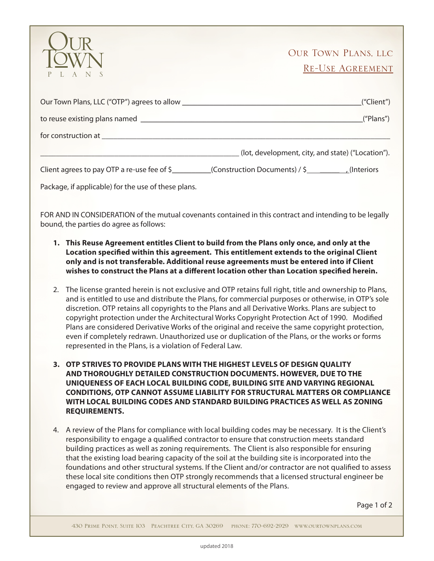

# Our Town Plans, llc Re-Use Agreement

| ("Client")                                                                           |
|--------------------------------------------------------------------------------------|
| ("Plans")                                                                            |
|                                                                                      |
| (lot, development, city, and state) ("Location").                                    |
| Client agrees to pay OTP a re-use fee of \$ (Construction Documents) / \$ (Interiors |

Package, if applicable) for the use of these plans.

FOR AND IN CONSIDERATION of the mutual covenants contained in this contract and intending to be legally bound, the parties do agree as follows:

- **1. This Reuse Agreement entitles Client to build from the Plans only once, and only at the Location specified within this agreement. This entitlement extends to the original Client only and is not transferable. Additional reuse agreements must be entered into if Client wishes to construct the Plans at a different location other than Location specified herein.**
- 2. The license granted herein is not exclusive and OTP retains full right, title and ownership to Plans, and is entitled to use and distribute the Plans, for commercial purposes or otherwise, in OTP's sole discretion. OTP retains all copyrights to the Plans and all Derivative Works. Plans are subject to copyright protection under the Architectural Works Copyright Protection Act of 1990. Modified Plans are considered Derivative Works of the original and receive the same copyright protection, even if completely redrawn. Unauthorized use or duplication of the Plans, or the works or forms represented in the Plans, is a violation of Federal Law.
- **3. OTP STRIVES TO PROVIDE PLANS WITH THE HIGHEST LEVELS OF DESIGN QUALITY AND THOROUGHLY DETAILED CONSTRUCTION DOCUMENTS. HOWEVER, DUE TO THE UNIQUENESS OF EACH LOCAL BUILDING CODE, BUILDING SITE AND VARYING REGIONAL CONDITIONS, OTP CANNOT ASSUME LIABILITY FOR STRUCTURAL MATTERS OR COMPLIANCE WITH LOCAL BUILDING CODES AND STANDARD BUILDING PRACTICES AS WELL AS ZONING REQUIREMENTS.**
- 4. A review of the Plans for compliance with local building codes may be necessary. It is the Client's responsibility to engage a qualified contractor to ensure that construction meets standard building practices as well as zoning requirements. The Client is also responsible for ensuring that the existing load bearing capacity of the soil at the building site is incorporated into the foundations and other structural systems. If the Client and/or contractor are not qualified to assess these local site conditions then OTP strongly recommends that a licensed structural engineer be engaged to review and approve all structural elements of the Plans.

Page 1 of 2

430 Prime Point, Suite 103 Peachtree City, GA 30269 phone: 770-692-2929 www.ourtownplans.com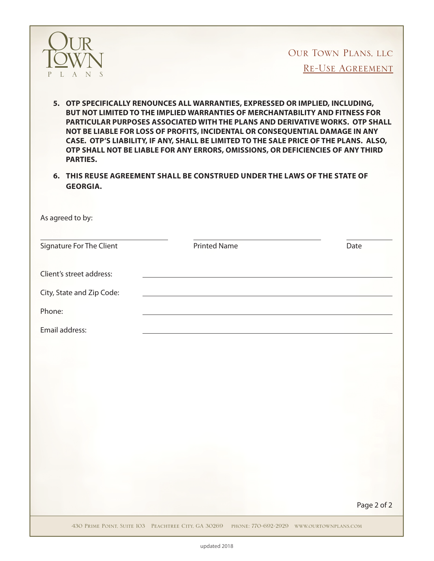

OUR TOWN PLANS, LLC<br>RE-USE AGREEMENT

- **5. OTP SPECIFICALLY RENOUNCES ALL WARRANTIES, EXPRESSED OR IMPLIED, INCLUDING, BUT NOT LIMITED TO THE IMPLIED WARRANTIES OF MERCHANTABILITY AND FITNESS FOR PARTICULAR PURPOSES ASSOCIATED WITH THE PLANS AND DERIVATIVE WORKS. OTP SHALL NOT BE LIABLE FOR LOSS OF PROFITS, INCIDENTAL OR CONSEQUENTIAL DAMAGE IN ANY CASE. OTP'S LIABILITY, IF ANY, SHALL BE LIMITED TO THE SALE PRICE OF THE PLANS. ALSO, OTP SHALL NOT BE LIABLE FOR ANY ERRORS, OMISSIONS, OR DEFICIENCIES OF ANY THIRD PARTIES.**
- **6. THIS REUSE AGREEMENT SHALL BE CONSTRUED UNDER THE LAWS OF THE STATE OF GEORGIA.**

| Signature For The Client  | <b>Printed Name</b> | Date        |
|---------------------------|---------------------|-------------|
|                           |                     |             |
| Client's street address:  |                     |             |
| City, State and Zip Code: |                     |             |
| Phone:                    |                     |             |
| Email address:            |                     |             |
|                           |                     |             |
|                           |                     |             |
|                           |                     |             |
|                           |                     |             |
|                           |                     |             |
|                           |                     |             |
|                           |                     |             |
|                           |                     |             |
|                           |                     |             |
|                           |                     |             |
|                           |                     | Page 2 of 2 |